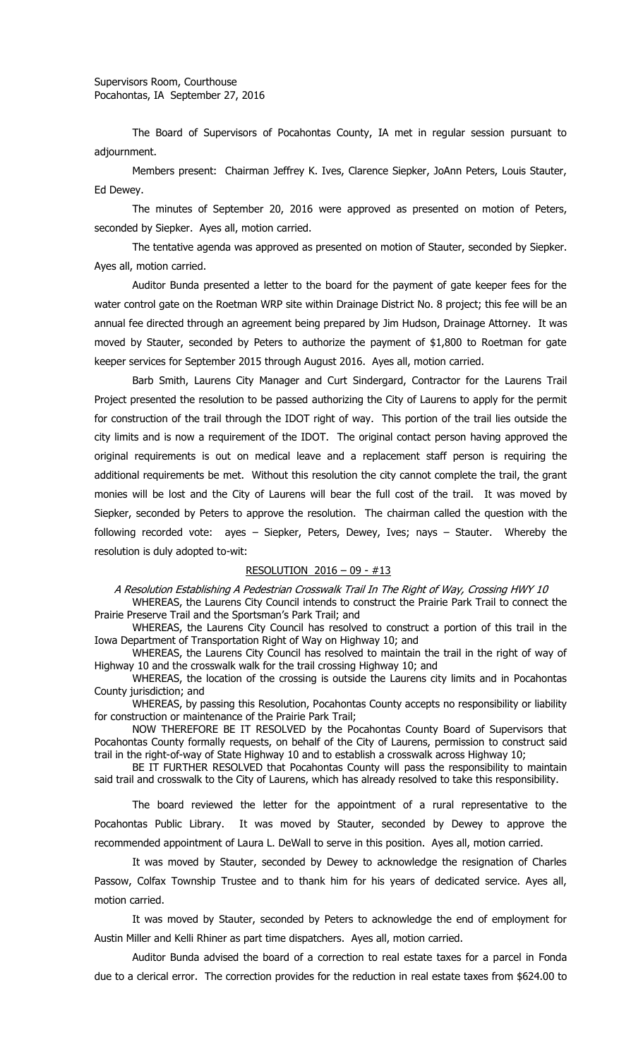The Board of Supervisors of Pocahontas County, IA met in regular session pursuant to adjournment.

Members present: Chairman Jeffrey K. Ives, Clarence Siepker, JoAnn Peters, Louis Stauter, Ed Dewey.

The minutes of September 20, 2016 were approved as presented on motion of Peters, seconded by Siepker. Ayes all, motion carried.

The tentative agenda was approved as presented on motion of Stauter, seconded by Siepker. Ayes all, motion carried.

Auditor Bunda presented a letter to the board for the payment of gate keeper fees for the water control gate on the Roetman WRP site within Drainage District No. 8 project; this fee will be an annual fee directed through an agreement being prepared by Jim Hudson, Drainage Attorney. It was moved by Stauter, seconded by Peters to authorize the payment of \$1,800 to Roetman for gate keeper services for September 2015 through August 2016. Ayes all, motion carried.

Barb Smith, Laurens City Manager and Curt Sindergard, Contractor for the Laurens Trail Project presented the resolution to be passed authorizing the City of Laurens to apply for the permit for construction of the trail through the IDOT right of way. This portion of the trail lies outside the city limits and is now a requirement of the IDOT. The original contact person having approved the original requirements is out on medical leave and a replacement staff person is requiring the additional requirements be met. Without this resolution the city cannot complete the trail, the grant monies will be lost and the City of Laurens will bear the full cost of the trail. It was moved by Siepker, seconded by Peters to approve the resolution. The chairman called the question with the following recorded vote: ayes – Siepker, Peters, Dewey, Ives; nays – Stauter. Whereby the resolution is duly adopted to-wit:

## RESOLUTION 2016 – 09 - #13

A Resolution Establishing A Pedestrian Crosswalk Trail In The Right of Way, Crossing HWY 10

WHEREAS, the Laurens City Council intends to construct the Prairie Park Trail to connect the Prairie Preserve Trail and the Sportsman's Park Trail; and

WHEREAS, the Laurens City Council has resolved to construct a portion of this trail in the Iowa Department of Transportation Right of Way on Highway 10; and

WHEREAS, the Laurens City Council has resolved to maintain the trail in the right of way of Highway 10 and the crosswalk walk for the trail crossing Highway 10; and

WHEREAS, the location of the crossing is outside the Laurens city limits and in Pocahontas County jurisdiction; and

WHEREAS, by passing this Resolution, Pocahontas County accepts no responsibility or liability for construction or maintenance of the Prairie Park Trail;

NOW THEREFORE BE IT RESOLVED by the Pocahontas County Board of Supervisors that Pocahontas County formally requests, on behalf of the City of Laurens, permission to construct said trail in the right-of-way of State Highway 10 and to establish a crosswalk across Highway 10;

BE IT FURTHER RESOLVED that Pocahontas County will pass the responsibility to maintain said trail and crosswalk to the City of Laurens, which has already resolved to take this responsibility.

The board reviewed the letter for the appointment of a rural representative to the Pocahontas Public Library. It was moved by Stauter, seconded by Dewey to approve the recommended appointment of Laura L. DeWall to serve in this position. Ayes all, motion carried.

It was moved by Stauter, seconded by Dewey to acknowledge the resignation of Charles Passow, Colfax Township Trustee and to thank him for his years of dedicated service. Ayes all, motion carried.

It was moved by Stauter, seconded by Peters to acknowledge the end of employment for Austin Miller and Kelli Rhiner as part time dispatchers. Ayes all, motion carried.

Auditor Bunda advised the board of a correction to real estate taxes for a parcel in Fonda due to a clerical error. The correction provides for the reduction in real estate taxes from \$624.00 to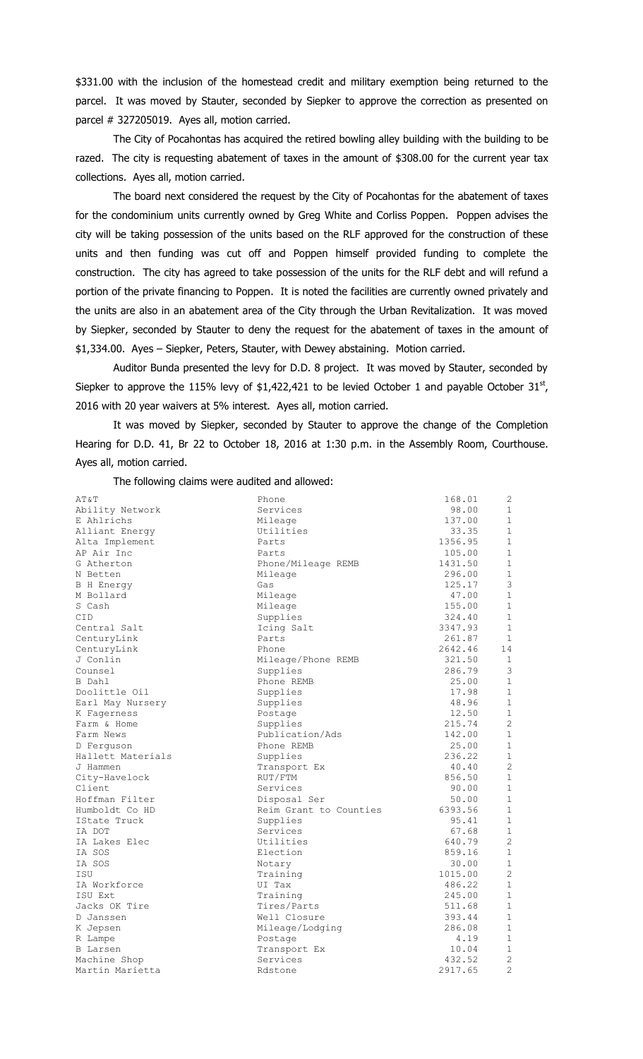\$331.00 with the inclusion of the homestead credit and military exemption being returned to the parcel. It was moved by Stauter, seconded by Siepker to approve the correction as presented on parcel # 327205019. Ayes all, motion carried.

The City of Pocahontas has acquired the retired bowling alley building with the building to be razed. The city is requesting abatement of taxes in the amount of \$308.00 for the current year tax collections. Ayes all, motion carried.

The board next considered the request by the City of Pocahontas for the abatement of taxes for the condominium units currently owned by Greg White and Corliss Poppen. Poppen advises the city will be taking possession of the units based on the RLF approved for the construction of these units and then funding was cut off and Poppen himself provided funding to complete the construction. The city has agreed to take possession of the units for the RLF debt and will refund a portion of the private financing to Poppen. It is noted the facilities are currently owned privately and the units are also in an abatement area of the City through the Urban Revitalization. It was moved by Siepker, seconded by Stauter to deny the request for the abatement of taxes in the amount of \$1,334.00. Ayes – Siepker, Peters, Stauter, with Dewey abstaining. Motion carried.

Auditor Bunda presented the levy for D.D. 8 project. It was moved by Stauter, seconded by Siepker to approve the 115% levy of \$1,422,421 to be levied October 1 and payable October 31<sup>st</sup>, 2016 with 20 year waivers at 5% interest. Ayes all, motion carried.

It was moved by Siepker, seconded by Stauter to approve the change of the Completion Hearing for D.D. 41, Br 22 to October 18, 2016 at 1:30 p.m. in the Assembly Room, Courthouse. Ayes all, motion carried.

The following claims were audited and allowed:

| AT&T                         | Phone                  | 168.01  | $\overline{c}$ |
|------------------------------|------------------------|---------|----------------|
| Ability Network              | Services               | 98.00   | 1              |
| E Ahlrichs                   | Mileage                | 137.00  | $\mathbf{1}$   |
| Alliant Energy               | Utilities              | 33.35   | 1              |
|                              | Parts                  | 1356.95 | $\mathbf{1}$   |
| Alta Implement<br>AP Air Inc | Parts                  | 105.00  | $\mathbf{1}$   |
|                              |                        |         | $\mathbf{1}$   |
| G Atherton                   | Phone/Mileage REMB     | 1431.50 |                |
| N Betten                     | Mileage                | 296.00  | 1<br>3         |
| <b>B</b> H Energy            | Gas                    | 125.17  |                |
| M Bollard                    | Mileage                | 47.00   | $\mathbf{1}$   |
| S Cash                       | Mileage                | 155.00  | $\mathbf 1$    |
| <b>CID</b>                   | Supplies               | 324.40  | $\mathbf{1}$   |
| Central Salt                 | Icing Salt             | 3347.93 | $\mathbf{1}$   |
| CenturyLink                  | Parts                  | 261.87  | $\mathbf 1$    |
| CenturyLink                  | Phone                  | 2642.46 | 14             |
| J Conlin                     | Mileage/Phone REMB     | 321.50  | 1              |
| Counsel                      | Supplies               | 286.79  | 3              |
| B Dahl                       | Phone REMB             | 25.00   | $\mathbf{1}$   |
| Doolittle Oil                | Supplies               | 17.98   | 1              |
| Earl May Nursery             | Supplies               | 48.96   | $\mathbf{1}$   |
| K Fagerness                  | Postage                | 12.50   | $\mathbf 1$    |
| Farm & Home                  | Supplies               | 215.74  | $\overline{c}$ |
| Farm News                    | Publication/Ads        | 142.00  | $1\,$          |
| D Ferquson                   | Phone REMB             | 25.00   | 1              |
| Hallett Materials            | Supplies               | 236.22  | 1              |
| J Hammen                     | Transport Ex           | 40.40   | $\overline{c}$ |
| City-Havelock                | RUT/FTM                | 856.50  | $\mathbf 1$    |
| Client                       | Services               | 90.00   | $\mathbf{1}$   |
| Hoffman Filter               | Disposal Ser           | 50.00   | $\mathbf{1}$   |
| Humboldt Co HD               | Reim Grant to Counties | 6393.56 | $\mathbf{1}$   |
| IState Truck                 | Supplies               | 95.41   | 1              |
| IA DOT                       | Services               | 67.68   | $\mathbf{1}$   |
| IA Lakes Elec                | Utilities              | 640.79  | $\overline{c}$ |
| IA SOS                       | Election               | 859.16  | $\mathbf{1}$   |
| IA SOS                       | Notary                 | 30.00   | $\mathbf{1}$   |
| ISU                          | Training               | 1015.00 | $\overline{2}$ |
| IA Workforce                 | UI Tax                 | 486.22  | $\mathbf{1}$   |
| ISU Ext                      | Training               | 245.00  | $\mathbf{1}$   |
| Jacks OK Tire                | Tires/Parts            | 511.68  | $\mathbf{1}$   |
| D Janssen                    | Well Closure           | 393.44  | $\mathbf{1}$   |
| K Jepsen                     | Mileage/Lodging        | 286.08  | 1              |
| R Lampe                      | Postage                | 4.19    | $\mathbf{1}$   |
| <b>B</b> Larsen              | Transport Ex           | 10.04   | $1\,$          |
| Machine Shop                 | Services               | 432.52  | $\overline{c}$ |
| Martin Marietta              | Rdstone                | 2917.65 | $\overline{2}$ |
|                              |                        |         |                |